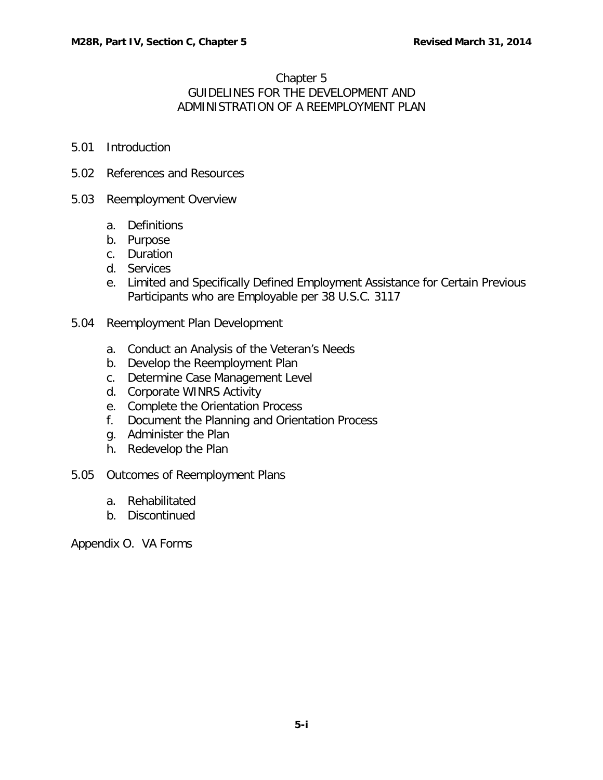#### Chapter 5

# GUIDELINES FOR THE DEVELOPMENT AND ADMINISTRATION OF A REEMPLOYMENT PLAN

- 5.01 [Introduction](#page-1-0)
- 5.02 [References and Resources](#page-1-1)
- 5.03 [Reemployment Overview](#page-2-0)
	- a. [Definitions](#page-2-1)
	- b. [Purpose](#page-2-2)
	- c. [Duration](#page-3-0)
	- d. [Services](#page-5-0)
	- e. [Limited and Specifically Defined Employment Assistance for Certain Previous](#page-8-0)  [Participants who are Employable per 38 U.S.C. 3117](#page-8-0)
- 5.04 [Reemployment Plan Development](#page-9-0)
	- a. [Conduct an Analysis of the Veteran's Needs](#page-9-1)
	- b. [Develop the Reemployment Plan](#page-10-0)
	- c. [Determine Case Management Level](#page-12-0)
	- d. [Corporate WINRS Activity](#page-12-1)
	- e. [Complete the Orientation Process](#page-14-0)
	- f. [Document the Planning and Orientation Process](#page-14-1)
	- g. [Administer the Plan](#page-15-0)
	- h. [Redevelop the Plan](#page-15-1)
- 5.05 [Outcomes of Reemployment Plans](#page-16-0)
	- a. [Rehabilitated](#page-16-1)
	- b. [Discontinued](#page-16-2)

Appendix O. VA Forms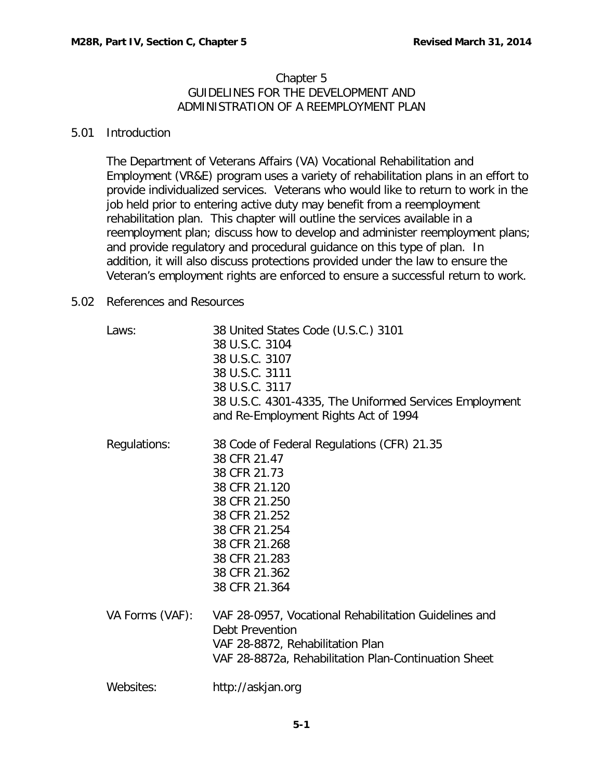## Chapter 5 GUIDELINES FOR THE DEVELOPMENT AND ADMINISTRATION OF A REEMPLOYMENT PLAN

## <span id="page-1-0"></span>5.01 Introduction

The Department of Veterans Affairs (VA) Vocational Rehabilitation and Employment (VR&E) program uses a variety of rehabilitation plans in an effort to provide individualized services. Veterans who would like to return to work in the job held prior to entering active duty may benefit from a reemployment rehabilitation plan. This chapter will outline the services available in a reemployment plan; discuss how to develop and administer reemployment plans; and provide regulatory and procedural guidance on this type of plan. In addition, it will also discuss protections provided under the law to ensure the Veteran's employment rights are enforced to ensure a successful return to work.

## <span id="page-1-1"></span>5.02 References and Resources

| Laws:           | 38 United States Code (U.S.C.) 3101<br>38 U.S.C. 3104<br>38 U.S.C. 3107<br>38 U.S.C. 3111<br>38 U.S.C. 3117<br>38 U.S.C. 4301-4335, The Uniformed Services Employment<br>and Re-Employment Rights Act of 1994      |
|-----------------|--------------------------------------------------------------------------------------------------------------------------------------------------------------------------------------------------------------------|
| Regulations:    | 38 Code of Federal Regulations (CFR) 21.35<br>38 CFR 21.47<br>38 CFR 21.73<br>38 CFR 21.120<br>38 CFR 21.250<br>38 CFR 21.252<br>38 CFR 21.254<br>38 CFR 21.268<br>38 CFR 21.283<br>38 CFR 21.362<br>38 CFR 21.364 |
| VA Forms (VAF): | VAF 28-0957, Vocational Rehabilitation Guidelines and<br>Debt Prevention<br>VAF 28-8872, Rehabilitation Plan<br>VAF 28-8872a, Rehabilitation Plan-Continuation Sheet                                               |
| Websites:       | http://askjan.org                                                                                                                                                                                                  |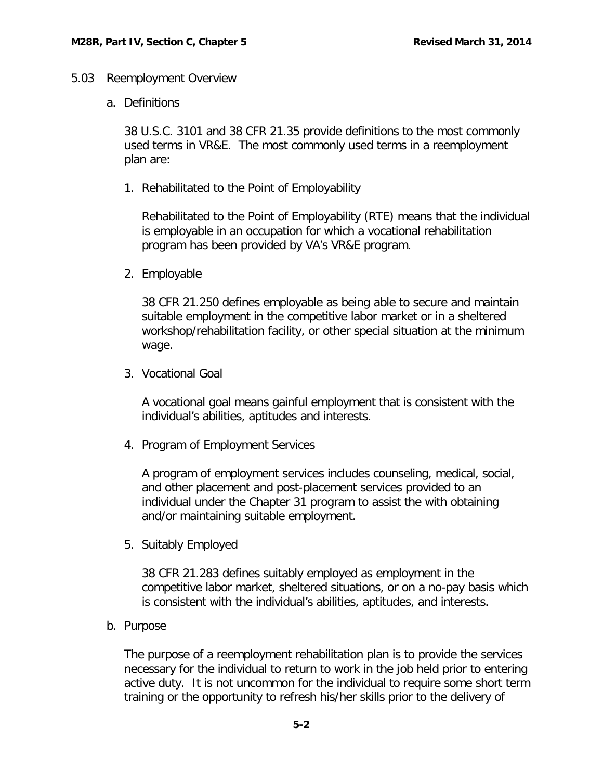#### <span id="page-2-1"></span><span id="page-2-0"></span>5.03 Reemployment Overview

a. Definitions

38 U.S.C. 3101 and 38 CFR 21.35 provide definitions to the most commonly used terms in VR&E. The most commonly used terms in a reemployment plan are:

1. Rehabilitated to the Point of Employability

Rehabilitated to the Point of Employability (RTE) means that the individual is employable in an occupation for which a vocational rehabilitation program has been provided by VA's VR&E program.

2. Employable

38 CFR 21.250 defines employable as being able to secure and maintain suitable employment in the competitive labor market or in a sheltered workshop/rehabilitation facility, or other special situation at the minimum wage.

3. Vocational Goal

A vocational goal means gainful employment that is consistent with the individual's abilities, aptitudes and interests.

4. Program of Employment Services

A program of employment services includes counseling, medical, social, and other placement and post-placement services provided to an individual under the Chapter 31 program to assist the with obtaining and/or maintaining suitable employment.

5. Suitably Employed

38 CFR 21.283 defines suitably employed as employment in the competitive labor market, sheltered situations, or on a no-pay basis which is consistent with the individual's abilities, aptitudes, and interests.

<span id="page-2-2"></span>b. Purpose

The purpose of a reemployment rehabilitation plan is to provide the services necessary for the individual to return to work in the job held prior to entering active duty. It is not uncommon for the individual to require some short term training or the opportunity to refresh his/her skills prior to the delivery of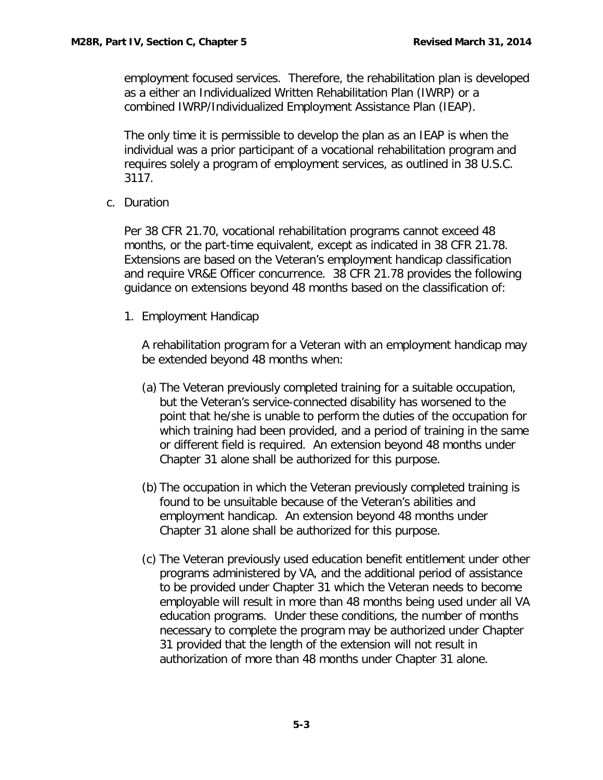employment focused services. Therefore, the rehabilitation plan is developed as a either an Individualized Written Rehabilitation Plan (IWRP) or a combined IWRP/Individualized Employment Assistance Plan (IEAP).

The only time it is permissible to develop the plan as an IEAP is when the individual was a prior participant of a vocational rehabilitation program and requires solely a program of employment services, as outlined in 38 U.S.C. 3117.

<span id="page-3-0"></span>c. Duration

Per 38 CFR 21.70, vocational rehabilitation programs cannot exceed 48 months, or the part-time equivalent, except as indicated in 38 CFR 21.78. Extensions are based on the Veteran's employment handicap classification and require VR&E Officer concurrence. 38 CFR 21.78 provides the following guidance on extensions beyond 48 months based on the classification of:

1. Employment Handicap

A rehabilitation program for a Veteran with an employment handicap may be extended beyond 48 months when:

- (a) The Veteran previously completed training for a suitable occupation, but the Veteran's service-connected disability has worsened to the point that he/she is unable to perform the duties of the occupation for which training had been provided, and a period of training in the same or different field is required. An extension beyond 48 months under Chapter 31 alone shall be authorized for this purpose.
- (b) The occupation in which the Veteran previously completed training is found to be unsuitable because of the Veteran's abilities and employment handicap. An extension beyond 48 months under Chapter 31 alone shall be authorized for this purpose.
- (c) The Veteran previously used education benefit entitlement under other programs administered by VA, and the additional period of assistance to be provided under Chapter 31 which the Veteran needs to become employable will result in more than 48 months being used under all VA education programs. Under these conditions, the number of months necessary to complete the program may be authorized under Chapter 31 provided that the length of the extension will not result in authorization of more than 48 months under Chapter 31 alone.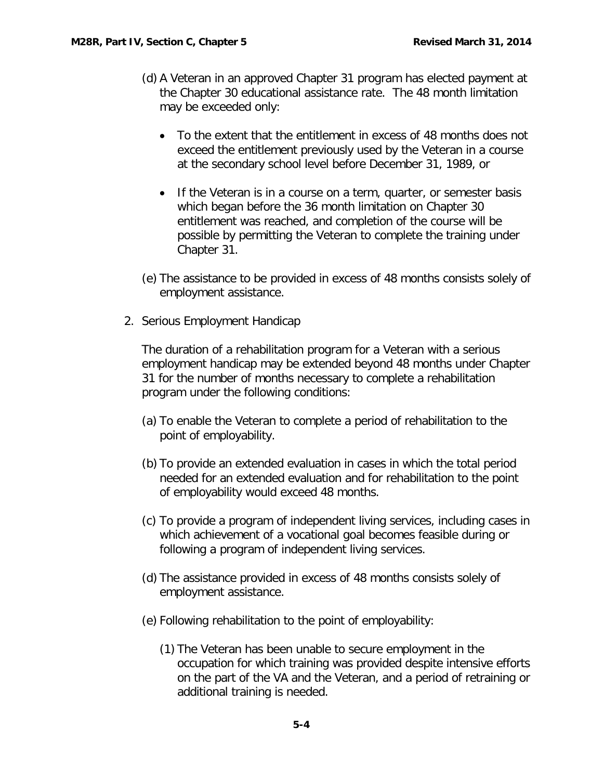- (d) A Veteran in an approved Chapter 31 program has elected payment at the Chapter 30 educational assistance rate. The 48 month limitation may be exceeded only:
	- To the extent that the entitlement in excess of 48 months does not exceed the entitlement previously used by the Veteran in a course at the secondary school level before December 31, 1989, or
	- If the Veteran is in a course on a term, quarter, or semester basis which began before the 36 month limitation on Chapter 30 entitlement was reached, and completion of the course will be possible by permitting the Veteran to complete the training under Chapter 31.
- (e) The assistance to be provided in excess of 48 months consists solely of employment assistance.
- 2. Serious Employment Handicap

The duration of a rehabilitation program for a Veteran with a serious employment handicap may be extended beyond 48 months under Chapter 31 for the number of months necessary to complete a rehabilitation program under the following conditions:

- (a) To enable the Veteran to complete a period of rehabilitation to the point of employability.
- (b) To provide an extended evaluation in cases in which the total period needed for an extended evaluation and for rehabilitation to the point of employability would exceed 48 months.
- (c) To provide a program of independent living services, including cases in which achievement of a vocational goal becomes feasible during or following a program of independent living services.
- (d) The assistance provided in excess of 48 months consists solely of employment assistance.
- (e) Following rehabilitation to the point of employability:
	- (1) The Veteran has been unable to secure employment in the occupation for which training was provided despite intensive efforts on the part of the VA and the Veteran, and a period of retraining or additional training is needed.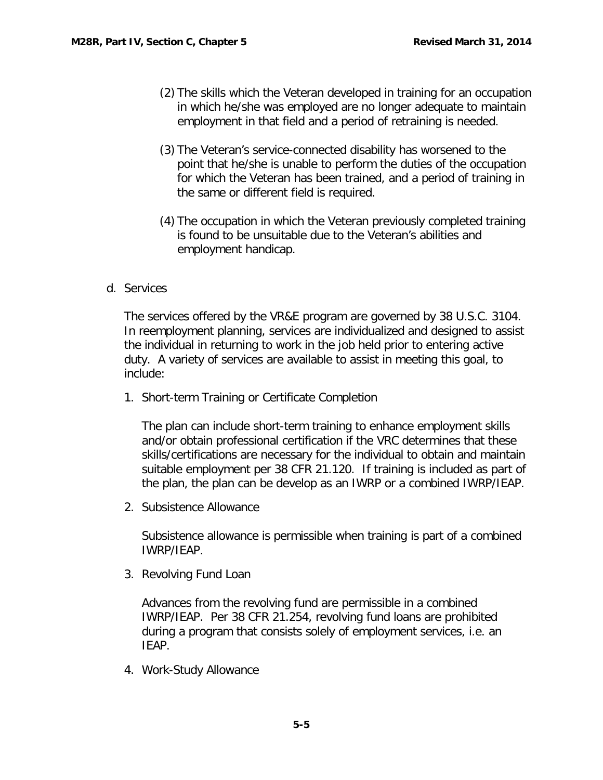- (2) The skills which the Veteran developed in training for an occupation in which he/she was employed are no longer adequate to maintain employment in that field and a period of retraining is needed.
- (3) The Veteran's service-connected disability has worsened to the point that he/she is unable to perform the duties of the occupation for which the Veteran has been trained, and a period of training in the same or different field is required.
- (4) The occupation in which the Veteran previously completed training is found to be unsuitable due to the Veteran's abilities and employment handicap.
- <span id="page-5-0"></span>d. Services

The services offered by the VR&E program are governed by 38 U.S.C. 3104. In reemployment planning, services are individualized and designed to assist the individual in returning to work in the job held prior to entering active duty. A variety of services are available to assist in meeting this goal, to include:

1. Short-term Training or Certificate Completion

The plan can include short-term training to enhance employment skills and/or obtain professional certification if the VRC determines that these skills/certifications are necessary for the individual to obtain and maintain suitable employment per 38 CFR 21.120. If training is included as part of the plan, the plan can be develop as an IWRP or a combined IWRP/IEAP.

2. Subsistence Allowance

Subsistence allowance is permissible when training is part of a combined IWRP/IEAP.

3. Revolving Fund Loan

Advances from the revolving fund are permissible in a combined IWRP/IEAP. Per 38 CFR 21.254, revolving fund loans are prohibited during a program that consists solely of employment services, i.e. an IEAP.

4. Work-Study Allowance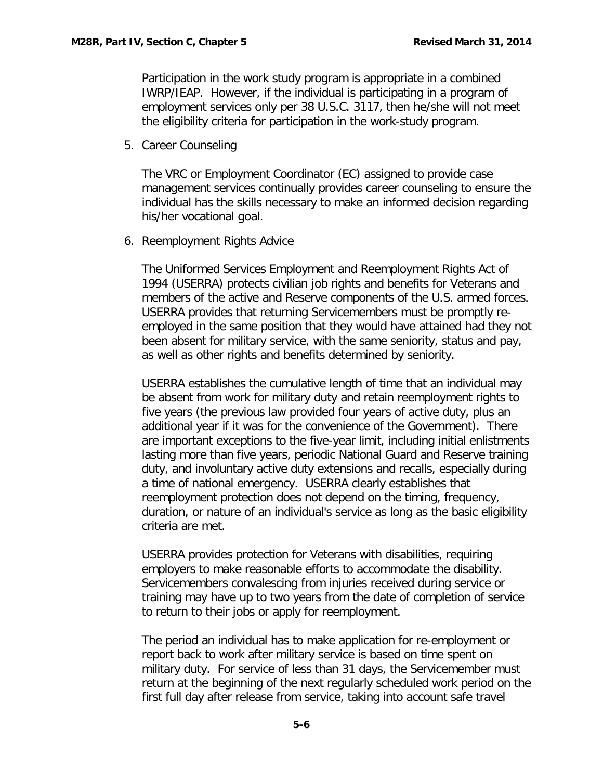Participation in the work study program is appropriate in a combined IWRP/IEAP. However, if the individual is participating in a program of employment services only per 38 U.S.C. 3117, then he/she will not meet the eligibility criteria for participation in the work-study program.

5. Career Counseling

The VRC or Employment Coordinator (EC) assigned to provide case management services continually provides career counseling to ensure the individual has the skills necessary to make an informed decision regarding his/her vocational goal.

6. Reemployment Rights Advice

The Uniformed Services Employment and Reemployment Rights Act of 1994 (USERRA) protects civilian job rights and benefits for Veterans and members of the active and Reserve components of the U.S. armed forces. USERRA provides that returning Servicemembers must be promptly reemployed in the same position that they would have attained had they not been absent for military service, with the same seniority, status and pay, as well as other rights and benefits determined by seniority.

USERRA establishes the cumulative length of time that an individual may be absent from work for military duty and retain reemployment rights to five years (the previous law provided four years of active duty, plus an additional year if it was for the convenience of the Government). There are important exceptions to the five-year limit, including initial enlistments lasting more than five years, periodic National Guard and Reserve training duty, and involuntary active duty extensions and recalls, especially during a time of national emergency. USERRA clearly establishes that reemployment protection does not depend on the timing, frequency, duration, or nature of an individual's service as long as the basic eligibility criteria are met.

USERRA provides protection for Veterans with disabilities, requiring employers to make reasonable efforts to accommodate the disability. Servicemembers convalescing from injuries received during service or training may have up to two years from the date of completion of service to return to their jobs or apply for reemployment.

The period an individual has to make application for re-employment or report back to work after military service is based on time spent on military duty. For service of less than 31 days, the Servicemember must return at the beginning of the next regularly scheduled work period on the first full day after release from service, taking into account safe travel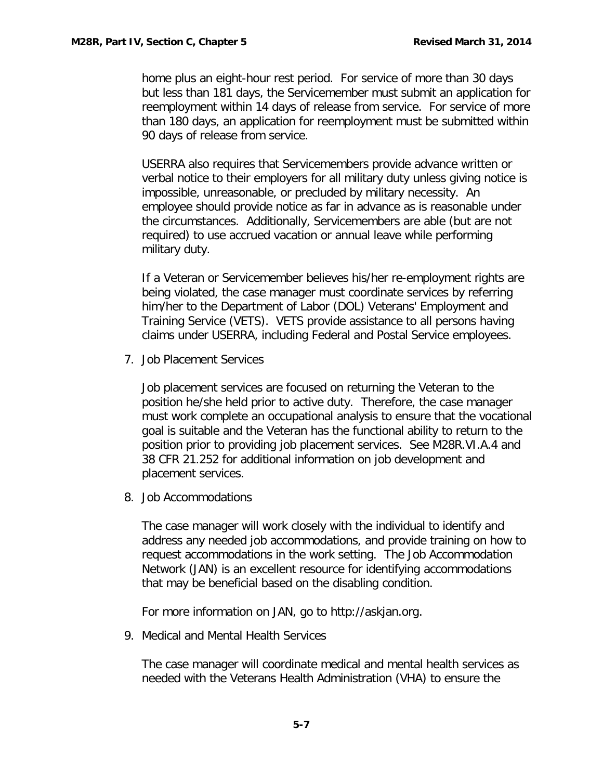home plus an eight-hour rest period. For service of more than 30 days but less than 181 days, the Servicemember must submit an application for reemployment within 14 days of release from service. For service of more than 180 days, an application for reemployment must be submitted within 90 days of release from service.

USERRA also requires that Servicemembers provide advance written or verbal notice to their employers for all military duty unless giving notice is impossible, unreasonable, or precluded by military necessity. An employee should provide notice as far in advance as is reasonable under the circumstances. Additionally, Servicemembers are able (but are not required) to use accrued vacation or annual leave while performing military duty.

If a Veteran or Servicemember believes his/her re-employment rights are being violated, the case manager must coordinate services by referring him/her to the Department of Labor (DOL) Veterans' Employment and Training Service (VETS). VETS provide assistance to all persons having claims under USERRA, including Federal and Postal Service employees.

7. Job Placement Services

Job placement services are focused on returning the Veteran to the position he/she held prior to active duty. Therefore, the case manager must work complete an occupational analysis to ensure that the vocational goal is suitable and the Veteran has the functional ability to return to the position prior to providing job placement services. See M28R.VI.A.4 and 38 CFR 21.252 for additional information on job development and placement services.

8. Job Accommodations

The case manager will work closely with the individual to identify and address any needed job accommodations, and provide training on how to request accommodations in the work setting. The Job Accommodation Network (JAN) is an excellent resource for identifying accommodations that may be beneficial based on the disabling condition.

For more information on JAN, go to http://askjan.org.

9. Medical and Mental Health Services

The case manager will coordinate medical and mental health services as needed with the Veterans Health Administration (VHA) to ensure the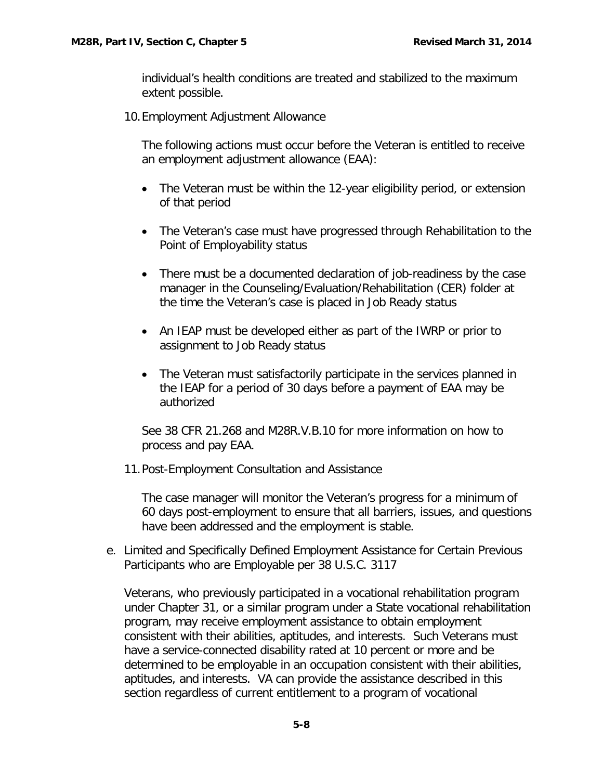individual's health conditions are treated and stabilized to the maximum extent possible.

10.Employment Adjustment Allowance

The following actions must occur before the Veteran is entitled to receive an employment adjustment allowance (EAA):

- The Veteran must be within the 12-year eligibility period, or extension of that period
- The Veteran's case must have progressed through Rehabilitation to the Point of Employability status
- There must be a documented declaration of job-readiness by the case manager in the Counseling/Evaluation/Rehabilitation (CER) folder at the time the Veteran's case is placed in Job Ready status
- An IEAP must be developed either as part of the IWRP or prior to assignment to Job Ready status
- The Veteran must satisfactorily participate in the services planned in the IEAP for a period of 30 days before a payment of EAA may be authorized

See 38 CFR 21.268 and M28R.V.B.10 for more information on how to process and pay EAA.

11.Post-Employment Consultation and Assistance

The case manager will monitor the Veteran's progress for a minimum of 60 days post-employment to ensure that all barriers, issues, and questions have been addressed and the employment is stable.

<span id="page-8-0"></span>e. Limited and Specifically Defined Employment Assistance for Certain Previous Participants who are Employable per 38 U.S.C. 3117

Veterans, who previously participated in a vocational rehabilitation program under Chapter 31, or a similar program under a State vocational rehabilitation program, may receive employment assistance to obtain employment consistent with their abilities, aptitudes, and interests. Such Veterans must have a service-connected disability rated at 10 percent or more and be determined to be employable in an occupation consistent with their abilities, aptitudes, and interests. VA can provide the assistance described in this section regardless of current entitlement to a program of vocational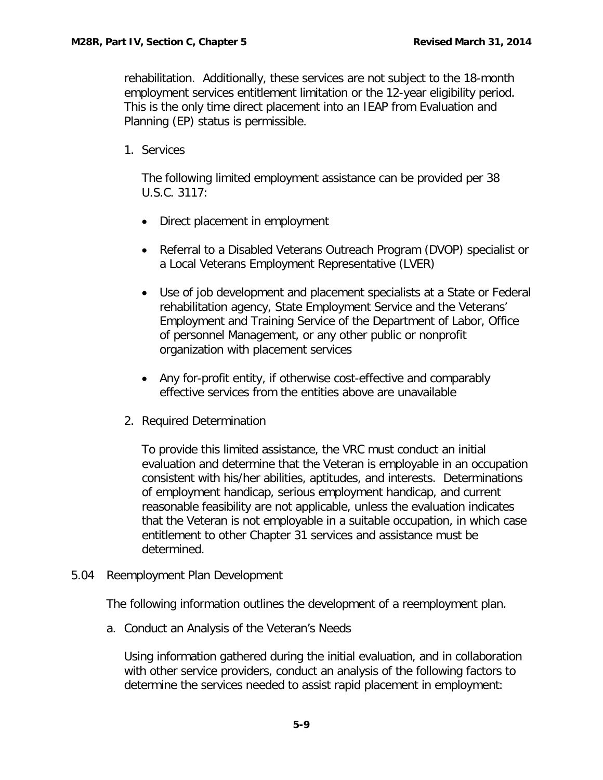rehabilitation. Additionally, these services are not subject to the 18-month employment services entitlement limitation or the 12-year eligibility period. This is the only time direct placement into an IEAP from Evaluation and Planning (EP) status is permissible.

1. Services

The following limited employment assistance can be provided per 38 U.S.C. 3117:

- Direct placement in employment
- Referral to a Disabled Veterans Outreach Program (DVOP) specialist or a Local Veterans Employment Representative (LVER)
- Use of job development and placement specialists at a State or Federal rehabilitation agency, State Employment Service and the Veterans' Employment and Training Service of the Department of Labor, Office of personnel Management, or any other public or nonprofit organization with placement services
- Any for-profit entity, if otherwise cost-effective and comparably effective services from the entities above are unavailable
- 2. Required Determination

To provide this limited assistance, the VRC must conduct an initial evaluation and determine that the Veteran is employable in an occupation consistent with his/her abilities, aptitudes, and interests. Determinations of employment handicap, serious employment handicap, and current reasonable feasibility are not applicable, unless the evaluation indicates that the Veteran is not employable in a suitable occupation, in which case entitlement to other Chapter 31 services and assistance must be determined.

<span id="page-9-0"></span>5.04 Reemployment Plan Development

The following information outlines the development of a reemployment plan.

<span id="page-9-1"></span>a. Conduct an Analysis of the Veteran's Needs

Using information gathered during the initial evaluation, and in collaboration with other service providers, conduct an analysis of the following factors to determine the services needed to assist rapid placement in employment: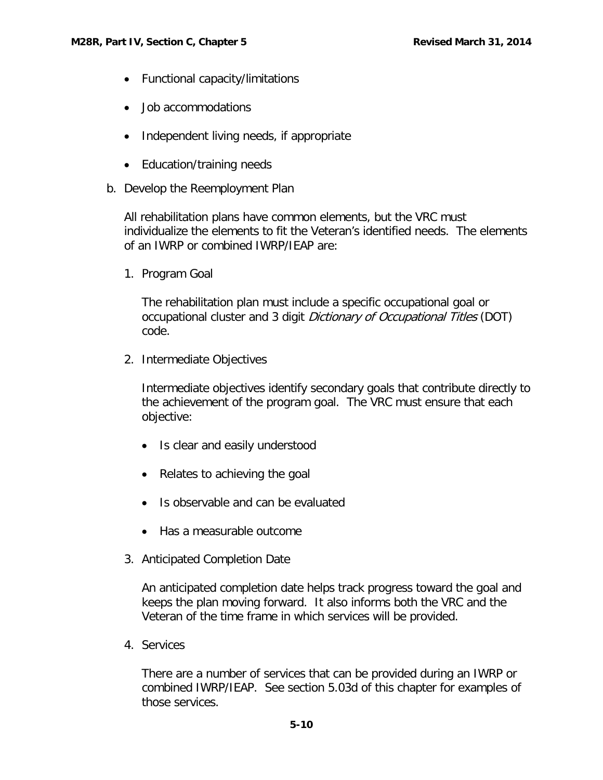- Functional capacity/limitations
- Job accommodations
- Independent living needs, if appropriate
- Education/training needs
- <span id="page-10-0"></span>b. Develop the Reemployment Plan

All rehabilitation plans have common elements, but the VRC must individualize the elements to fit the Veteran's identified needs. The elements of an IWRP or combined IWRP/IEAP are:

1. Program Goal

The rehabilitation plan must include a specific occupational goal or occupational cluster and 3 digit Dictionary of Occupational Titles (DOT) code.

2. Intermediate Objectives

Intermediate objectives identify secondary goals that contribute directly to the achievement of the program goal. The VRC must ensure that each objective:

- Is clear and easily understood
- Relates to achieving the goal
- Is observable and can be evaluated
- Has a measurable outcome
- 3. Anticipated Completion Date

An anticipated completion date helps track progress toward the goal and keeps the plan moving forward. It also informs both the VRC and the Veteran of the time frame in which services will be provided.

4. Services

There are a number of services that can be provided during an IWRP or combined IWRP/IEAP. See section 5.03d of this chapter for examples of those services.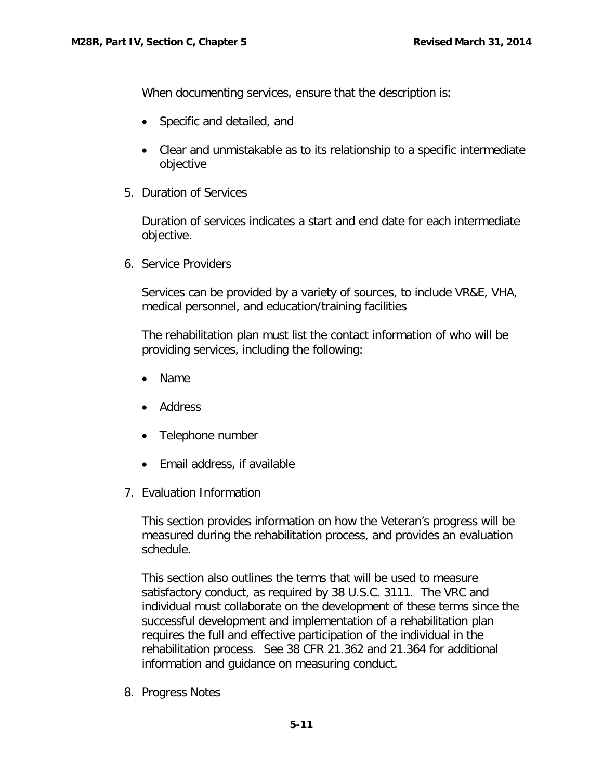When documenting services, ensure that the description is:

- Specific and detailed, and
- Clear and unmistakable as to its relationship to a specific intermediate objective
- 5. Duration of Services

Duration of services indicates a start and end date for each intermediate objective.

6. Service Providers

Services can be provided by a variety of sources, to include VR&E, VHA, medical personnel, and education/training facilities

The rehabilitation plan must list the contact information of who will be providing services, including the following:

- Name
- Address
- Telephone number
- Email address, if available
- 7. Evaluation Information

This section provides information on how the Veteran's progress will be measured during the rehabilitation process, and provides an evaluation schedule.

This section also outlines the terms that will be used to measure satisfactory conduct, as required by 38 U.S.C. 3111. The VRC and individual must collaborate on the development of these terms since the successful development and implementation of a rehabilitation plan requires the full and effective participation of the individual in the rehabilitation process. See 38 CFR 21.362 and 21.364 for additional information and guidance on measuring conduct.

8. Progress Notes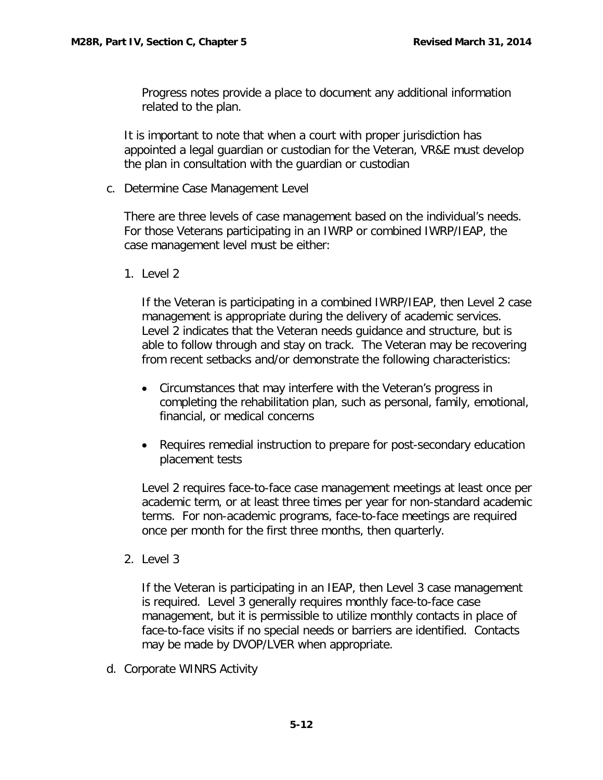Progress notes provide a place to document any additional information related to the plan.

It is important to note that when a court with proper jurisdiction has appointed a legal guardian or custodian for the Veteran, VR&E must develop the plan in consultation with the guardian or custodian

<span id="page-12-0"></span>c. Determine Case Management Level

There are three levels of case management based on the individual's needs. For those Veterans participating in an IWRP or combined IWRP/IEAP, the case management level must be either:

1. Level 2

If the Veteran is participating in a combined IWRP/IEAP, then Level 2 case management is appropriate during the delivery of academic services. Level 2 indicates that the Veteran needs guidance and structure, but is able to follow through and stay on track. The Veteran may be recovering from recent setbacks and/or demonstrate the following characteristics:

- Circumstances that may interfere with the Veteran's progress in completing the rehabilitation plan, such as personal, family, emotional, financial, or medical concerns
- Requires remedial instruction to prepare for post-secondary education placement tests

Level 2 requires face-to-face case management meetings at least once per academic term, or at least three times per year for non-standard academic terms. For non-academic programs, face-to-face meetings are required once per month for the first three months, then quarterly.

2. Level 3

If the Veteran is participating in an IEAP, then Level 3 case management is required. Level 3 generally requires monthly face-to-face case management, but it is permissible to utilize monthly contacts in place of face-to-face visits if no special needs or barriers are identified. Contacts may be made by DVOP/LVER when appropriate.

<span id="page-12-1"></span>d. Corporate WINRS Activity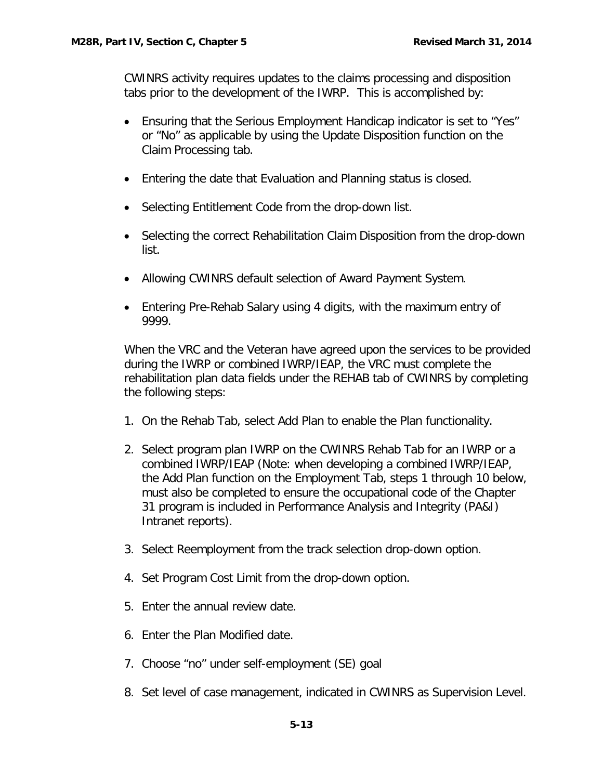CWINRS activity requires updates to the claims processing and disposition tabs prior to the development of the IWRP. This is accomplished by:

- Ensuring that the Serious Employment Handicap indicator is set to "Yes" or "No" as applicable by using the Update Disposition function on the Claim Processing tab.
- Entering the date that Evaluation and Planning status is closed.
- Selecting Entitlement Code from the drop-down list.
- Selecting the correct Rehabilitation Claim Disposition from the drop-down list.
- Allowing CWINRS default selection of Award Payment System.
- Entering Pre-Rehab Salary using 4 digits, with the maximum entry of 9999.

When the VRC and the Veteran have agreed upon the services to be provided during the IWRP or combined IWRP/IEAP, the VRC must complete the rehabilitation plan data fields under the REHAB tab of CWINRS by completing the following steps:

- 1. On the Rehab Tab, select Add Plan to enable the Plan functionality.
- 2. Select program plan IWRP on the CWINRS Rehab Tab for an IWRP or a combined IWRP/IEAP (Note: when developing a combined IWRP/IEAP, the Add Plan function on the Employment Tab, steps 1 through 10 below, must also be completed to ensure the occupational code of the Chapter 31 program is included in Performance Analysis and Integrity (PA&I) Intranet reports).
- 3. Select Reemployment from the track selection drop-down option.
- 4. Set Program Cost Limit from the drop-down option.
- 5. Enter the annual review date.
- 6. Enter the Plan Modified date.
- 7. Choose "no" under self-employment (SE) goal
- 8. Set level of case management, indicated in CWINRS as Supervision Level.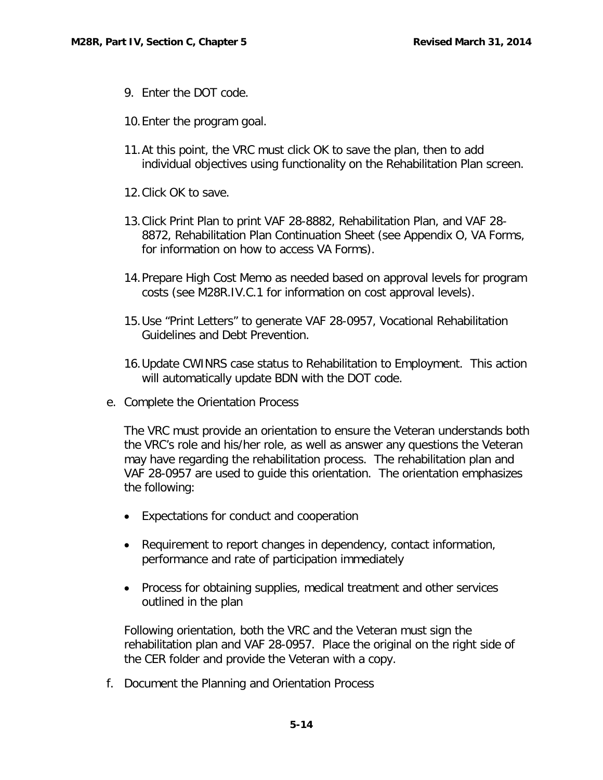- 9. Enter the DOT code.
- 10.Enter the program goal.
- 11.At this point, the VRC must click OK to save the plan, then to add individual objectives using functionality on the Rehabilitation Plan screen.
- 12.Click OK to save.
- 13.Click Print Plan to print VAF 28-8882, Rehabilitation Plan, and VAF 28- 8872, Rehabilitation Plan Continuation Sheet (see Appendix O, VA Forms, for information on how to access VA Forms).
- 14.Prepare High Cost Memo as needed based on approval levels for program costs (see M28R.IV.C.1 for information on cost approval levels).
- 15.Use "Print Letters" to generate VAF 28-0957, Vocational Rehabilitation Guidelines and Debt Prevention.
- 16.Update CWINRS case status to Rehabilitation to Employment. This action will automatically update BDN with the DOT code.
- <span id="page-14-0"></span>e. Complete the Orientation Process

The VRC must provide an orientation to ensure the Veteran understands both the VRC's role and his/her role, as well as answer any questions the Veteran may have regarding the rehabilitation process. The rehabilitation plan and VAF 28-0957 are used to guide this orientation. The orientation emphasizes the following:

- Expectations for conduct and cooperation
- Requirement to report changes in dependency, contact information, performance and rate of participation immediately
- Process for obtaining supplies, medical treatment and other services outlined in the plan

Following orientation, both the VRC and the Veteran must sign the rehabilitation plan and VAF 28-0957. Place the original on the right side of the CER folder and provide the Veteran with a copy.

<span id="page-14-1"></span>f. Document the Planning and Orientation Process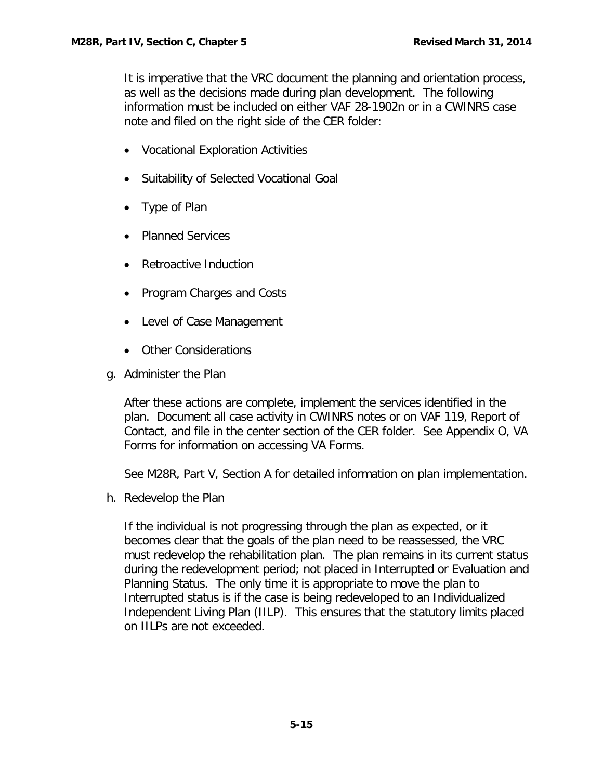It is imperative that the VRC document the planning and orientation process, as well as the decisions made during plan development. The following information must be included on either VAF 28-1902n or in a CWINRS case note and filed on the right side of the CER folder:

- Vocational Exploration Activities
- Suitability of Selected Vocational Goal
- Type of Plan
- Planned Services
- Retroactive Induction
- Program Charges and Costs
- Level of Case Management
- Other Considerations
- <span id="page-15-0"></span>g. Administer the Plan

After these actions are complete, implement the services identified in the plan. Document all case activity in CWINRS notes or on VAF 119, Report of Contact, and file in the center section of the CER folder. See Appendix O, VA Forms for information on accessing VA Forms.

See M28R, Part V, Section A for detailed information on plan implementation.

<span id="page-15-1"></span>h. Redevelop the Plan

If the individual is not progressing through the plan as expected, or it becomes clear that the goals of the plan need to be reassessed, the VRC must redevelop the rehabilitation plan. The plan remains in its current status during the redevelopment period; not placed in Interrupted or Evaluation and Planning Status. The only time it is appropriate to move the plan to Interrupted status is if the case is being redeveloped to an Individualized Independent Living Plan (IILP). This ensures that the statutory limits placed on IILPs are not exceeded.